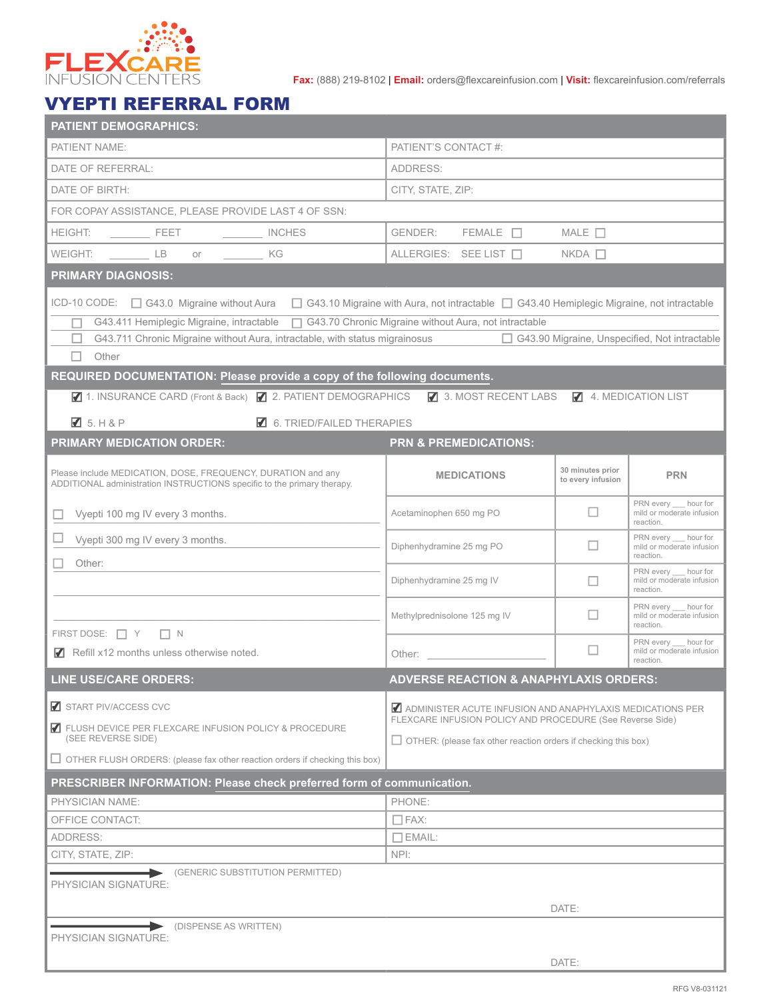

**Fax:** (888) 219-8102 | **Email:** orders@flexcareinfusion.com | **Visit:** flexcareinfusion.com/referrals

## VYEPTI REFERRAL FORM

| <b>PATIENT DEMOGRAPHICS:</b>                                                                                                                       |                                                                                                                                |                                       |                                                                 |  |  |  |  |  |  |
|----------------------------------------------------------------------------------------------------------------------------------------------------|--------------------------------------------------------------------------------------------------------------------------------|---------------------------------------|-----------------------------------------------------------------|--|--|--|--|--|--|
| PATIENT NAME:                                                                                                                                      | PATIENT'S CONTACT #:                                                                                                           |                                       |                                                                 |  |  |  |  |  |  |
| DATE OF REFERRAL:                                                                                                                                  | ADDRESS:                                                                                                                       |                                       |                                                                 |  |  |  |  |  |  |
| DATE OF BIRTH:                                                                                                                                     | CITY, STATE, ZIP:                                                                                                              |                                       |                                                                 |  |  |  |  |  |  |
| FOR COPAY ASSISTANCE, PLEASE PROVIDE LAST 4 OF SSN:                                                                                                |                                                                                                                                |                                       |                                                                 |  |  |  |  |  |  |
| <b>HEIGHT:</b><br><b>EXECUTE:</b><br>INCHES                                                                                                        | $FEMALE$ $\Box$<br>GENDER:                                                                                                     | $MALE$ $\Box$                         |                                                                 |  |  |  |  |  |  |
| <b>LB</b><br><b>KG</b><br>WEIGHT:<br>or                                                                                                            | ALLERGIES: SEE LIST                                                                                                            | $NKDA$ $\Box$                         |                                                                 |  |  |  |  |  |  |
| <b>PRIMARY DIAGNOSIS:</b>                                                                                                                          |                                                                                                                                |                                       |                                                                 |  |  |  |  |  |  |
| ICD-10 CODE: □ G43.0 Migraine without Aura<br>$\Box$ G43.10 Migraine with Aura, not intractable $\Box$ G43.40 Hemiplegic Migraine, not intractable |                                                                                                                                |                                       |                                                                 |  |  |  |  |  |  |
| G43.411 Hemiplegic Migraine, intractable □ G43.70 Chronic Migraine without Aura, not intractable                                                   |                                                                                                                                |                                       |                                                                 |  |  |  |  |  |  |
|                                                                                                                                                    | □ G43.90 Migraine, Unspecified, Not intractable<br>G43.711 Chronic Migraine without Aura, intractable, with status migrainosus |                                       |                                                                 |  |  |  |  |  |  |
| Other<br>п                                                                                                                                         |                                                                                                                                |                                       |                                                                 |  |  |  |  |  |  |
| REQUIRED DOCUMENTATION: Please provide a copy of the following documents.                                                                          |                                                                                                                                |                                       |                                                                 |  |  |  |  |  |  |
| Ⅰ 1. INSURANCE CARD (Front & Back) 2. PATIENT DEMOGRAPHICS                                                                                         | 3. MOST RECENT LABS                                                                                                            |                                       | 4. MEDICATION LIST                                              |  |  |  |  |  |  |
| $\boxtimes$ 5. H & P<br>$\blacksquare$ 6. TRIED/FAILED THERAPIES                                                                                   |                                                                                                                                |                                       |                                                                 |  |  |  |  |  |  |
| <b>PRIMARY MEDICATION ORDER:</b>                                                                                                                   | <b>PRN &amp; PREMEDICATIONS:</b>                                                                                               |                                       |                                                                 |  |  |  |  |  |  |
| Please include MEDICATION, DOSE, FREQUENCY, DURATION and any<br>ADDITIONAL administration INSTRUCTIONS specific to the primary therapy.            | <b>MEDICATIONS</b>                                                                                                             | 30 minutes prior<br>to every infusion | <b>PRN</b>                                                      |  |  |  |  |  |  |
| Vyepti 100 mg IV every 3 months.<br>ш                                                                                                              | Acetaminophen 650 mg PO                                                                                                        | П                                     | PRN every __ hour for<br>mild or moderate infusion<br>reaction. |  |  |  |  |  |  |
| Vyepti 300 mg IV every 3 months.                                                                                                                   | Diphenhydramine 25 mg PO                                                                                                       | П                                     | PRN every __ hour for<br>mild or moderate infusion<br>reaction. |  |  |  |  |  |  |
| Other:                                                                                                                                             | Diphenhydramine 25 mg IV                                                                                                       | П                                     | PRN every __ hour for<br>mild or moderate infusion<br>reaction. |  |  |  |  |  |  |
|                                                                                                                                                    | Methylprednisolone 125 mg IV                                                                                                   |                                       | PRN every __ hour for<br>mild or moderate infusion              |  |  |  |  |  |  |
| FIRST DOSE: $\Box$ Y $\Box$ N                                                                                                                      |                                                                                                                                |                                       | reaction.<br>PRN every hour for                                 |  |  |  |  |  |  |
| Refill x12 months unless otherwise noted.                                                                                                          | Other:                                                                                                                         | ш                                     | mild or moderate infusion<br>reaction.                          |  |  |  |  |  |  |
| <b>ADVERSE REACTION &amp; ANAPHYLAXIS ORDERS:</b><br><b>LINE USE/CARE ORDERS:</b>                                                                  |                                                                                                                                |                                       |                                                                 |  |  |  |  |  |  |
| START PIV/ACCESS CVC                                                                                                                               | ADMINISTER ACUTE INFUSION AND ANAPHYLAXIS MEDICATIONS PER                                                                      |                                       |                                                                 |  |  |  |  |  |  |
| ELUSH DEVICE PER FLEXCARE INFUSION POLICY & PROCEDURE<br>(SEE REVERSE SIDE)                                                                        | FLEXCARE INFUSION POLICY AND PROCEDURE (See Reverse Side)                                                                      |                                       |                                                                 |  |  |  |  |  |  |
| $\Box$ OTHER FLUSH ORDERS: (please fax other reaction orders if checking this box)                                                                 | $\Box$ OTHER: (please fax other reaction orders if checking this box)                                                          |                                       |                                                                 |  |  |  |  |  |  |
|                                                                                                                                                    |                                                                                                                                |                                       |                                                                 |  |  |  |  |  |  |
| PRESCRIBER INFORMATION: Please check preferred form of communication.                                                                              |                                                                                                                                |                                       |                                                                 |  |  |  |  |  |  |
| <b>PHYSICIAN NAME:</b><br>OFFICE CONTACT:                                                                                                          | PHONE:<br>$\Box$ FAX:                                                                                                          |                                       |                                                                 |  |  |  |  |  |  |
| ADDRESS:                                                                                                                                           | $\Box$ EMAIL:                                                                                                                  |                                       |                                                                 |  |  |  |  |  |  |
| CITY, STATE, ZIP:                                                                                                                                  | NPI:                                                                                                                           |                                       |                                                                 |  |  |  |  |  |  |
| (GENERIC SUBSTITUTION PERMITTED)                                                                                                                   |                                                                                                                                |                                       |                                                                 |  |  |  |  |  |  |
| PHYSICIAN SIGNATURE:                                                                                                                               |                                                                                                                                |                                       |                                                                 |  |  |  |  |  |  |
|                                                                                                                                                    |                                                                                                                                | DATE:                                 |                                                                 |  |  |  |  |  |  |
| (DISPENSE AS WRITTEN)<br>PHYSICIAN SIGNATURE:                                                                                                      |                                                                                                                                |                                       |                                                                 |  |  |  |  |  |  |
| DATE:                                                                                                                                              |                                                                                                                                |                                       |                                                                 |  |  |  |  |  |  |
|                                                                                                                                                    |                                                                                                                                |                                       |                                                                 |  |  |  |  |  |  |